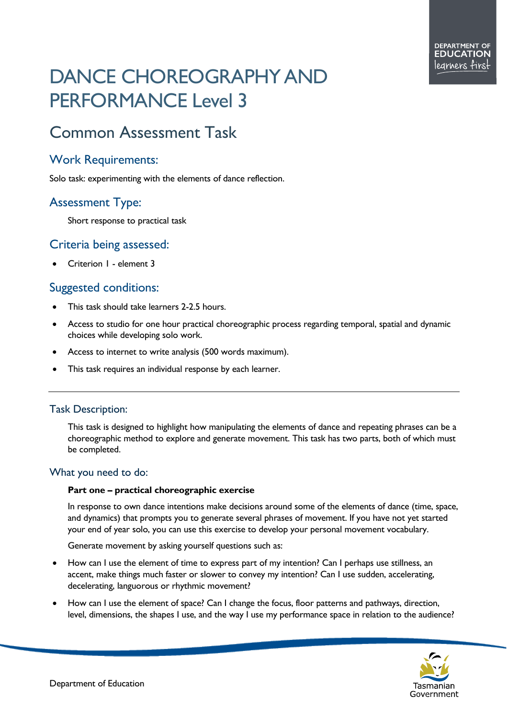# DANCE CHOREOGRAPHY AND PERFORMANCE Level 3

# Common Assessment Task

## Work Requirements:

Solo task: experimenting with the elements of dance reflection.

# Assessment Type:

Short response to practical task

### Criteria being assessed:

• Criterion 1 - element 3

# Suggested conditions:

- This task should take learners 2-2.5 hours.
- Access to studio for one hour practical choreographic process regarding temporal, spatial and dynamic choices while developing solo work.
- Access to internet to write analysis (500 words maximum).
- This task requires an individual response by each learner.

#### Task Description:

This task is designed to highlight how manipulating the elements of dance and repeating phrases can be a choreographic method to explore and generate movement. This task has two parts, both of which must be completed.

#### What you need to do:

#### **Part one – practical choreographic exercise**

In response to own dance intentions make decisions around some of the elements of dance (time, space, and dynamics) that prompts you to generate several phrases of movement. If you have not yet started your end of year solo, you can use this exercise to develop your personal movement vocabulary.

Generate movement by asking yourself questions such as:

- How can I use the element of time to express part of my intention? Can I perhaps use stillness, an accent, make things much faster or slower to convey my intention? Can I use sudden, accelerating, decelerating, languorous or rhythmic movement?
- How can I use the element of space? Can I change the focus, floor patterns and pathways, direction, level, dimensions, the shapes I use, and the way I use my performance space in relation to the audience?